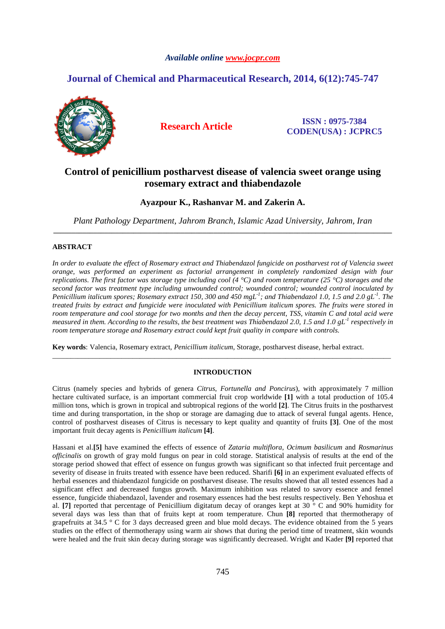## *Available online www.jocpr.com*

# **Journal of Chemical and Pharmaceutical Research, 2014, 6(12):745-747**



**Research Article ISSN : 0975-7384 CODEN(USA) : JCPRC5**

# **Control of penicillium postharvest disease of valencia sweet orange using rosemary extract and thiabendazole**

# **Ayazpour K., Rashanvar M. and Zakerin A.**

*Plant Pathology Department, Jahrom Branch, Islamic Azad University, Jahrom, Iran*  **\_\_\_\_\_\_\_\_\_\_\_\_\_\_\_\_\_\_\_\_\_\_\_\_\_\_\_\_\_\_\_\_\_\_\_\_\_\_\_\_\_\_\_\_\_\_\_\_\_\_\_\_\_\_\_\_\_\_\_\_\_\_\_\_\_\_\_\_\_\_\_\_\_\_\_\_\_\_\_\_\_\_\_\_\_\_\_\_\_\_\_\_\_** 

### **ABSTRACT**

*In order to evaluate the effect of Rosemary extract and Thiabendazol fungicide on postharvest rot of Valencia sweet orange, was performed an experiment as factorial arrangement in completely randomized design with four replications. The first factor was storage type including cool (4 °C) and room temperature (25 °C) storages and the second factor was treatment type including unwounded control; wounded control; wounded control inoculated by Penicillium italicum spores; Rosemary extract 150, 300 and 450 mgL-1; and Thiabendazol 1.0, 1.5 and 2.0 gL-1. The treated fruits by extract and fungicide were inoculated with Penicillium italicum spores. The fruits were stored in room temperature and cool storage for two months and then the decay percent, TSS, vitamin C and total acid were measured in them. According to the results, the best treatment was Thiabendazol 2.0, 1.5 and 1.0 gL-1 respectively in room temperature storage and Rosemary extract could kept fruit quality in compare with controls.* 

**Key words**: Valencia, Rosemary extract, *Penicillium italicum*, Storage, postharvest disease, herbal extract.

## **INTRODUCTION**

\_\_\_\_\_\_\_\_\_\_\_\_\_\_\_\_\_\_\_\_\_\_\_\_\_\_\_\_\_\_\_\_\_\_\_\_\_\_\_\_\_\_\_\_\_\_\_\_\_\_\_\_\_\_\_\_\_\_\_\_\_\_\_\_\_\_\_\_\_\_\_\_\_\_\_\_\_\_\_\_\_\_\_\_\_\_\_\_\_\_\_\_\_

Citrus (namely species and hybrids of genera *Citrus*, *Fortunella and Poncirus*), with approximately 7 million hectare cultivated surface, is an important commercial fruit crop worldwide **[1]** with a total production of 105.4 million tons, which is grown in tropical and subtropical regions of the world **[2]**. The Citrus fruits in the postharvest time and during transportation, in the shop or storage are damaging due to attack of several fungal agents. Hence, control of postharvest diseases of Citrus is necessary to kept quality and quantity of fruits **[3]**. One of the most important fruit decay agents is *Penicillium italicum* **[4]**.

Hassani et al.**[5]** have examined the effects of essence of *Zataria multiflora*, *Ocimum basilicum* and *Rosmarinus officinalis* on growth of gray mold fungus on pear in cold storage. Statistical analysis of results at the end of the storage period showed that effect of essence on fungus growth was significant so that infected fruit percentage and severity of disease in fruits treated with essence have been reduced. Sharifi **[6]** in an experiment evaluated effects of herbal essences and thiabendazol fungicide on postharvest disease. The results showed that all tested essences had a significant effect and decreased fungus growth. Maximum inhibition was related to savory essence and fennel essence, fungicide thiabendazol, lavender and rosemary essences had the best results respectively. Ben Yehoshua et al. **[7]** reported that percentage of Penicillium digitatum decay of oranges kept at 30 ° C and 90% humidity for several days was less than that of fruits kept at room temperature. Chun **[8]** reported that thermotherapy of grapefruits at 34.5 ° C for 3 days decreased green and blue mold decays. The evidence obtained from the 5 years studies on the effect of thermotherapy using warm air shows that during the period time of treatment, skin wounds were healed and the fruit skin decay during storage was significantly decreased. Wright and Kader **[9]** reported that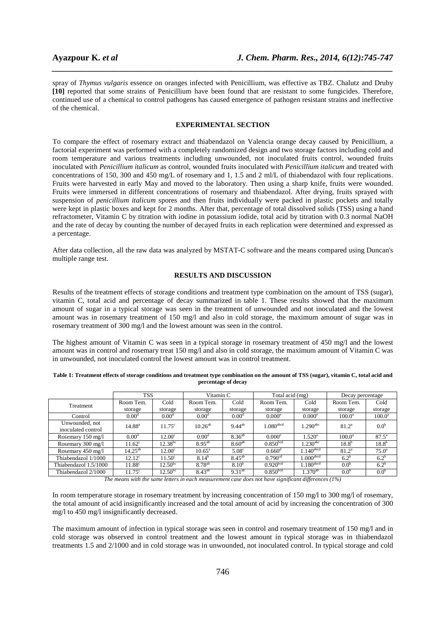spray of *Thymus vulgaris* essence on oranges infected with Penicillium, was effective as TBZ. Chalutz and Druby **[10]** reported that some strains of Penicillium have been found that are resistant to some fungicides. Therefore, continued use of a chemical to control pathogens has caused emergence of pathogen resistant strains and ineffective of the chemical.

*\_\_\_\_\_\_\_\_\_\_\_\_\_\_\_\_\_\_\_\_\_\_\_\_\_\_\_\_\_\_\_\_\_\_\_\_\_\_\_\_\_\_\_\_\_\_\_\_\_\_\_\_\_\_\_\_\_\_\_\_\_\_\_\_\_\_\_\_\_\_\_\_\_\_\_\_\_\_*

#### **EXPERIMENTAL SECTION**

To compare the effect of rosemary extract and thiabendazol on Valencia orange decay caused by Penicillium, a factorial experiment was performed with a completely randomized design and two storage factors including cold and room temperature and various treatments including unwounded, not inoculated fruits control, wounded fruits inoculated with *Penicillium italicum* as control, wounded fruits inoculated with *Penicillium italicum* and treated with concentrations of 150, 300 and 450 mg/L of rosemary and 1, 1.5 and 2 ml/L of thiabendazol with four replications. Fruits were harvested in early May and moved to the laboratory. Then using a sharp knife, fruits were wounded. Fruits were immersed in different concentrations of rosemary and thiabendazol. After drying, fruits sprayed with suspension of *penicillium italicum* spores and then fruits individually were packed in plastic pockets and totally were kept in plastic boxes and kept for 2 months. After that, percentage of total dissolved solids (TSS) using a hand refractometer, Vitamin C by titration with iodine in potassium iodide, total acid by titration with 0.3 normal NaOH and the rate of decay by counting the number of decayed fruits in each replication were determined and expressed as a percentage.

After data collection, all the raw data was analyzed by MSTAT-C software and the means compared using Duncan's multiple range test.

## **RESULTS AND DISCUSSION**

Results of the treatment effects of storage conditions and treatment type combination on the amount of TSS (sugar), vitamin C, total acid and percentage of decay summarized in table 1. These results showed that the maximum amount of sugar in a typical storage was seen in the treatment of unwounded and not inoculated and the lowest amount was in rosemary treatment of 150 mg/l and also in cold storage, the maximum amount of sugar was in rosemary treatment of 300 mg/l and the lowest amount was seen in the control.

The highest amount of Vitamin C was seen in a typical storage in rosemary treatment of 450 mg/l and the lowest amount was in control and rosemary treat 150 mg/l and also in cold storage, the maximum amount of Vitamin C was in unwounded, not inoculated control the lowest amount was in control treatment.

| Table 1: Treatment effects of storage conditions and treatment type combination on the amount of TSS (sugar), vitamin C, total acid and |
|-----------------------------------------------------------------------------------------------------------------------------------------|
| percentage of decay                                                                                                                     |

|                       | <b>TSS</b>         |                    | Vitamin C          |                   | Total acid (mg)         |                         | Decay percentage  |                  |  |
|-----------------------|--------------------|--------------------|--------------------|-------------------|-------------------------|-------------------------|-------------------|------------------|--|
| Treatment             | Room Tem.          | Cold               | Room Tem.          | Cold              | Room Tem.               | Cold                    | Room Tem.         | Cold             |  |
|                       | storage            | storage            | storage            | storage           | storage                 | storage                 | storage           | storage          |  |
| Control               | 0.00 <sup>d</sup>  | 0.00 <sup>d</sup>  | 0.00 <sup>d</sup>  | 0.00 <sup>d</sup> | 0.000 <sup>e</sup>      | 0.000 <sup>e</sup>      | $100.0^{\rm a}$   | $100.0^{\rm a}$  |  |
| Unwounded, not        | $14.88^{a}$        | $11.75^{\circ}$    | $10.26^{ab}$       | $9.44^{ab}$       | $1.080$ <sup>abcd</sup> | $1.290^{\text{abc}}$    | 81.2 <sup>a</sup> | 0.0 <sup>b</sup> |  |
| inoculated control    |                    |                    |                    |                   |                         |                         |                   |                  |  |
| Rosemary 150 mg/l     | $0.00^d$           | 12.00 <sup>c</sup> | 0.00 <sup>d</sup>  | $8.36^{ab}$       | 0.000 <sup>e</sup>      | $1.520^{\rm a}$         | $100.0^{\rm a}$   | $87.5^{\circ}$   |  |
| Rosemary 300 mg/l     | $11.62^{\circ}$    | $12.38^{bc}$       | $8.95^{ab}$        | $8.60^{ab}$       | 0.850 <sup>bcd</sup>    | $1.230^{\rm abc}$       | $18.8^{b}$        | $18.8^{b}$       |  |
| Rosemary 450 mg/l     | $14.25^{ab}$       | 12.00 <sup>c</sup> | $10.65^{\circ}$    | 5.08 <sup>c</sup> | $0.660^{\rm d}$         | $1.140$ <sup>abcd</sup> | $81.2^{\circ}$    | $75.0^{\circ}$   |  |
| Thiabendazol 1/1000   | $12.12^{\circ}$    | 11.50 <sup>c</sup> | $8.14^{b}$         | $8.45^{ab}$       | 0.790 <sup>cd</sup>     | $1.000$ <sup>abcd</sup> | 6.2 <sup>b</sup>  | $6.2^b$          |  |
| Thiabendazol 1.5/1000 | 11.88 <sup>c</sup> | $12.50^{bc}$       | 8.78 <sup>ab</sup> | $8.10^{b}$        | 0.920 <sup>bcd</sup>    | $1.180$ <sup>abcd</sup> | 0.0 <sup>b</sup>  | $6.2^{b}$        |  |
| Thiabendazol 2/1000   | $11.75^\circ$      | $12.50^{bc}$       | $8.43^{ab}$        | $9.31^{ab}$       | 0.850 <sup>bcd</sup>    | $1.370^{ab}$            | 0.0 <sup>b</sup>  | 0.0 <sup>b</sup> |  |

*The means with the same letters in each measurement case does not have significant differences (1%)* 

In room temperature storage in rosemary treatment by increasing concentration of 150 mg/l to 300 mg/l of rosemary, the total amount of acid insignificantly increased and the total amount of acid by increasing the concentration of 300 mg/l to 450 mg/l insignificantly decreased.

The maximum amount of infection in typical storage was seen in control and rosemary treatment of 150 mg/l and in cold storage was observed in control treatment and the lowest amount in typical storage was in thiabendazol treatments 1.5 and 2/1000 and in cold storage was in unwounded, not inoculated control. In typical storage and cold